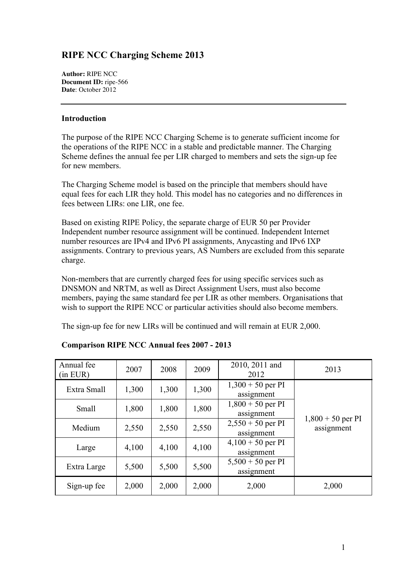## **RIPE NCC Charging Scheme 2013**

**Author:** RIPE NCC **Document ID:** ripe-566 **Date**: October 2012

## **Introduction**

The purpose of the RIPE NCC Charging Scheme is to generate sufficient income for the operations of the RIPE NCC in a stable and predictable manner. The Charging Scheme defines the annual fee per LIR charged to members and sets the sign-up fee for new members.

The Charging Scheme model is based on the principle that members should have equal fees for each LIR they hold. This model has no categories and no differences in fees between LIRs: one LIR, one fee.

Based on existing RIPE Policy, the separate charge of EUR 50 per Provider Independent number resource assignment will be continued. Independent Internet number resources are IPv4 and IPv6 PI assignments, Anycasting and IPv6 IXP assignments. Contrary to previous years, AS Numbers are excluded from this separate charge.

Non-members that are currently charged fees for using specific services such as DNSMON and NRTM, as well as Direct Assignment Users, must also become members, paying the same standard fee per LIR as other members. Organisations that wish to support the RIPE NCC or particular activities should also become members.

The sign-up fee for new LIRs will be continued and will remain at EUR 2,000.

| Annual fee<br>(in EUR) | 2007  | 2008                         | 2009  | 2010, 2011 and<br>2012            | 2013                              |  |
|------------------------|-------|------------------------------|-------|-----------------------------------|-----------------------------------|--|
| Extra Small            | 1,300 | 1,300                        | 1,300 | $1,300 + 50$ per PI<br>assignment |                                   |  |
| Small                  | 1,800 | 1,800                        | 1,800 | $1,800 + 50$ per PI<br>assignment |                                   |  |
| Medium                 | 2,550 |                              | 2,550 | $2,550 + 50$ per PI<br>assignment | $1,800 + 50$ per PI<br>assignment |  |
| Large                  | 4,100 | 4,100<br>4,100<br>assignment |       | $4,100 + 50$ per PI               |                                   |  |
| Extra Large            | 5,500 | 5,500                        | 5,500 | $5,500 + 50$ per PI<br>assignment |                                   |  |
| Sign-up fee            | 2,000 | 2,000                        | 2,000 | 2,000                             | 2,000                             |  |

## **Comparison RIPE NCC Annual fees 2007 - 2013**